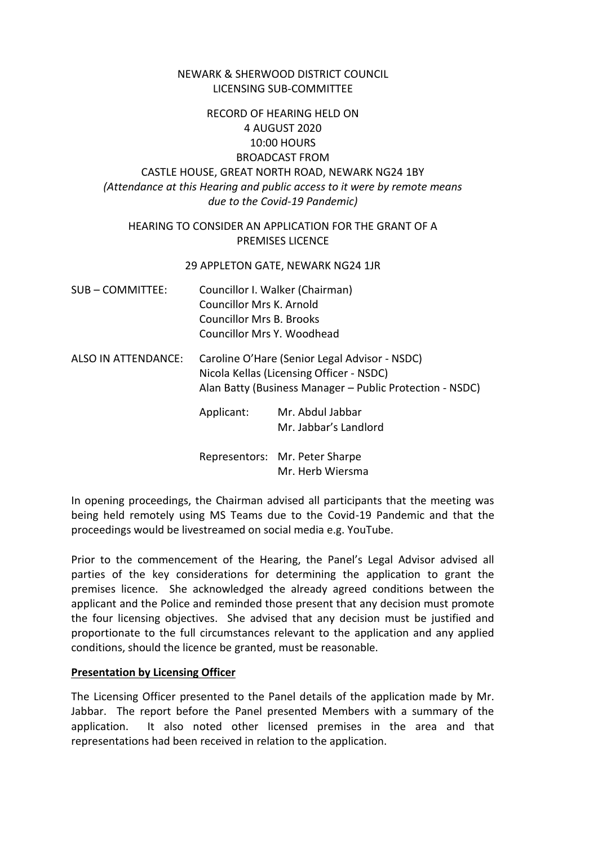# NEWARK & SHERWOOD DISTRICT COUNCIL LICENSING SUB-COMMITTEE

# RECORD OF HEARING HELD ON 4 AUGUST 2020 10:00 HOURS BROADCAST FROM CASTLE HOUSE, GREAT NORTH ROAD, NEWARK NG24 1BY *(Attendance at this Hearing and public access to it were by remote means due to the Covid-19 Pandemic)*

# HEARING TO CONSIDER AN APPLICATION FOR THE GRANT OF A PREMISES LICENCE

#### 29 APPLETON GATE, NEWARK NG24 1JR

- SUB COMMITTEE: Councillor I. Walker (Chairman) Councillor Mrs K. Arnold Councillor Mrs B. Brooks Councillor Mrs Y. Woodhead
- ALSO IN ATTENDANCE: Caroline O'Hare (Senior Legal Advisor NSDC) Nicola Kellas (Licensing Officer - NSDC) Alan Batty (Business Manager – Public Protection - NSDC)

Applicant: Mr. Abdul Jabbar Mr. Jabbar's Landlord

Representors: Mr. Peter Sharpe Mr. Herb Wiersma

In opening proceedings, the Chairman advised all participants that the meeting was being held remotely using MS Teams due to the Covid-19 Pandemic and that the proceedings would be livestreamed on social media e.g. YouTube.

Prior to the commencement of the Hearing, the Panel's Legal Advisor advised all parties of the key considerations for determining the application to grant the premises licence. She acknowledged the already agreed conditions between the applicant and the Police and reminded those present that any decision must promote the four licensing objectives. She advised that any decision must be justified and proportionate to the full circumstances relevant to the application and any applied conditions, should the licence be granted, must be reasonable.

## **Presentation by Licensing Officer**

The Licensing Officer presented to the Panel details of the application made by Mr. Jabbar. The report before the Panel presented Members with a summary of the application. It also noted other licensed premises in the area and that representations had been received in relation to the application.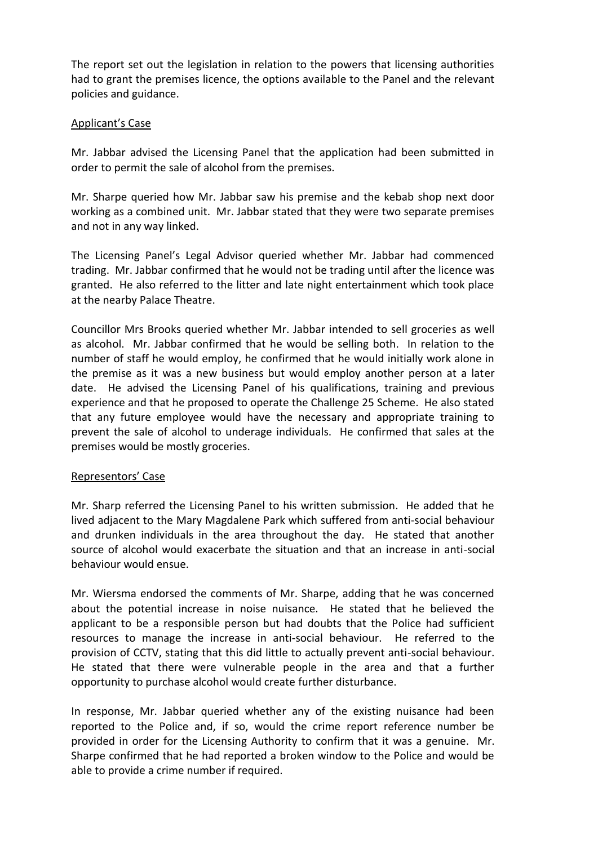The report set out the legislation in relation to the powers that licensing authorities had to grant the premises licence, the options available to the Panel and the relevant policies and guidance.

# Applicant's Case

Mr. Jabbar advised the Licensing Panel that the application had been submitted in order to permit the sale of alcohol from the premises.

Mr. Sharpe queried how Mr. Jabbar saw his premise and the kebab shop next door working as a combined unit. Mr. Jabbar stated that they were two separate premises and not in any way linked.

The Licensing Panel's Legal Advisor queried whether Mr. Jabbar had commenced trading. Mr. Jabbar confirmed that he would not be trading until after the licence was granted. He also referred to the litter and late night entertainment which took place at the nearby Palace Theatre.

Councillor Mrs Brooks queried whether Mr. Jabbar intended to sell groceries as well as alcohol. Mr. Jabbar confirmed that he would be selling both. In relation to the number of staff he would employ, he confirmed that he would initially work alone in the premise as it was a new business but would employ another person at a later date. He advised the Licensing Panel of his qualifications, training and previous experience and that he proposed to operate the Challenge 25 Scheme. He also stated that any future employee would have the necessary and appropriate training to prevent the sale of alcohol to underage individuals. He confirmed that sales at the premises would be mostly groceries.

## Representors' Case

Mr. Sharp referred the Licensing Panel to his written submission. He added that he lived adjacent to the Mary Magdalene Park which suffered from anti-social behaviour and drunken individuals in the area throughout the day. He stated that another source of alcohol would exacerbate the situation and that an increase in anti-social behaviour would ensue.

Mr. Wiersma endorsed the comments of Mr. Sharpe, adding that he was concerned about the potential increase in noise nuisance. He stated that he believed the applicant to be a responsible person but had doubts that the Police had sufficient resources to manage the increase in anti-social behaviour. He referred to the provision of CCTV, stating that this did little to actually prevent anti-social behaviour. He stated that there were vulnerable people in the area and that a further opportunity to purchase alcohol would create further disturbance.

In response, Mr. Jabbar queried whether any of the existing nuisance had been reported to the Police and, if so, would the crime report reference number be provided in order for the Licensing Authority to confirm that it was a genuine. Mr. Sharpe confirmed that he had reported a broken window to the Police and would be able to provide a crime number if required.